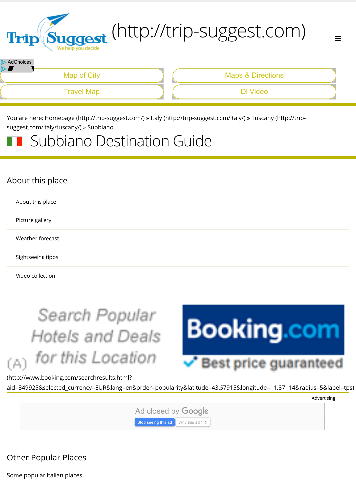|           |             | Trip Suggest (http://trip-suggest.com) |  |
|-----------|-------------|----------------------------------------|--|
| AdChoices |             |                                        |  |
|           | Map of City | <b>Maps &amp; Directions</b>           |  |

| Map of City       | <b>Maps &amp; Directions</b> |  |
|-------------------|------------------------------|--|
| <b>Travel Map</b> | Di Video                     |  |

[You are here:](http://trip-suggest.com/italy/tuscany/) [Homepage \(http://trip-suggest.com/](http://trip-suggest.com/)[\) »](http://trip-suggest.com/italy/tuscany/) [Italy \(http://trip-suggest.com/italy/\)](http://trip-suggest.com/italy/) [» Tuscany \(http://trip](http://trip-suggest.com/italy/tuscany/)suggest.com/italy/tuscany/) » Subbiano

# Subbiano Destination Guide

### About this place

| About this place  |  |
|-------------------|--|
| Picture gallery   |  |
| Weather forecast  |  |
| Sightseeing tipps |  |
| Video collection  |  |



#### (http://www.booking.com/searchresults.html?

[aid=349925&selected\\_currency=EUR&lang=en&order=popularity&latitude=43.57915&longitude=11.87114&radius=5&label=tps\)](http://www.booking.com/searchresults.html?aid=349925&selected_currency=EUR&lang=en&order=popularity&latitude=43.57915&longitude=11.87114&radius=5&label=tps)

Advertising

Ad closed by Google Stop seeing this ad [Why this ad?](https://www.google.com/ads/preferences/whythisad/en-US/RoOyDD7L4IWn5ZfI/#/AB3afGEAAAKHeyJ0YXJnZXRpbmdfcmVhc29ucyI6eyJhZF9yZWFzb24iOlsyLDldLCJleHBsYW5hdGlvbiI6eyJpbnRyb2R1Y3Rpb24iOiJUaGlzIGlzIGEgbGlzdCBvZiB0aGUgaW5mb3JtYXRpb24gc291cmNlcyB1c2VkIHRvIGRldGVybWluZSB0aGF0IHRoaXMgYWQgYmUgc2hvd24gdG8geW91OiIsIml0ZW0iOlt7ImRlc2NyaXB0aW9uIjoiVGhlIGluZm9ybWF0aW9uIG9uIHRoZSB3ZWJzaXRlIHlvdSB3ZXJlIHZpZXdpbmcuIn0seyJkZXNjcmlwdGlvbiI6IlRoZSB0aW1lIG9mIGRheSwgdGhlIHdlYnNpdGUgeW91IHdlcmUgdmlld2luZyBvciB5b3VyIGdlbmVyYWwgbG9jYXRpb24gKGZvciBleGFtcGxlIGNvdW50cnkgb3IgY2l0eSkuIn1dfX0sInByZXZpZXdfdXJsIjoiaHR0cHM6Ly9kaXNwbGF5YWRzLWZvcm1hdHMuZ29vZ2xldXNlcmNvbnRlbnQuY29tL2Fkcy9wcmV2aWV3L2NvbnRlbnQuanM_Y2xpZW50PXd0YVx1MDAyNm9iZnVzY2F0ZWRDdXN0b21lcklkPTE0NjIyNDA0MDhcdTAwMjZjcmVhdGl2ZUlkPTk2MzM3NDYxNTUyXHUwMDI2dmVyc2lvbklkPTBcdTAwMjZhZEdyb3VwQ3JlYXRpdmVJZD05NjYxMTQzODIzMlx1MDAyNmhlaWdodD0wXHUwMDI2d2lkdGg9MFx1MDAyNnNpZz1BQ2lWQl96TUl5cHJDMUgyc2I4cDZzNHl2VW9oZmV3VXBnIn2bDvOm_x3ml0vYnB84YA7twaTxMt-e12LMUdfRQyk_N7zhI9HecqS8doMrgN7V21Xk_ARh_a0MiO3VcGoediazyuDRqUHREC3KWAS9tggiQjF6I51PSbdfkwUyl8Ysom75wPJG3EFX42xp4Iq3du_eWRaneXIAtePjn4oq6UwV6ZhJNhpWNB7l6bam9ZqKh4unld5Gq-teEP93Ty8p3Xj5bfpMQHoOs6k-oxpW-1FGTlhCWCfzbfdtBT7XMZdI7PLNmLpFb8bOItLB1XxkyOqg4x4a1b5uJ76uiLwGqQTGHs6GJZ8HPqsoHXwMUC5j_bRc4HBGOcErokltYVgNLcPU,uSXa5st8B8N9YhogZ50qJA&gP2SP-I2gfwImJ328-cCEKiWhL4BGNjiohsiHXd3dy5taWxhbnZlbnVlLmNvbS92ZW51ZS5odG1sMgcIBRMYyRsUQhdjYS1wdWItODk3OTEyODUwODMzODA1M0gAWC5gyANwAQ&https://googleads.g.doubleclick.net/pagead/conversion/?ai=CgFS5g0OAWtCJFJGu3gOZo4HwBaaa6MpNmJ328-cCwI23ARABIMf_6Q1gkayThfwXoAGI8bblA8gBCakCHCXRiyaOtD6oAwHIA8sEqgSyAU_QlHdZul4v7WZnVtBmW3TJ2mJGDpKjyATezhWXQ1Hx3aAaXDqPcgVfE88ETpKVXLgPqSOw-CzkMB1yz4w642YNkGWYZHq1IRExLUxkMfIX-cX7PiA9v_Swh3xyhtRYESuMpsJxqEGCKDNkEPU5XoOipM152oDGjYJCf1bDvLOXrISZ26Bcoww3aDR8RnRuHE4ftItSAftuvnIgpaCh-cOouMiq4CKZM-6IEUfSTuPUs3GgBi6AB-COyRqoB6a-G9gHANIIBwiAYRABGAKxCcNZgkwV4nr7gAoB2BMC&sigh=VxFJGQ4S4iM&cid=CAASFeRodXdpko5DbyJKvwkUMV9Y1gmaXQ)  $\triangleright$ 

Other Popular Places

Some popular Italian places.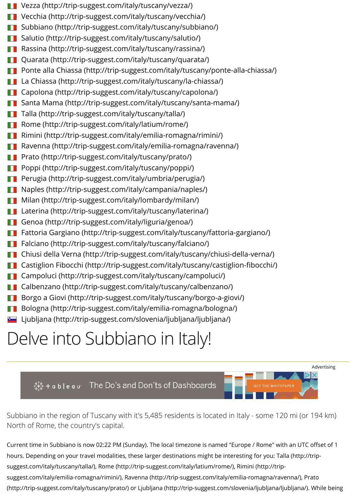- [Vezza \(http://trip-suggest.com/italy/tuscany/vezza/\)](http://trip-suggest.com/italy/tuscany/vezza/) [Vecchia \(http://trip-suggest.com/italy/tuscany/vecchia/\)](http://trip-suggest.com/italy/tuscany/vecchia/) [Subbiano \(http://trip-suggest.com/italy/tuscany/subbiano/\)](http://trip-suggest.com/italy/tuscany/subbiano/) [Salutio \(http://trip-suggest.com/italy/tuscany/salutio/\)](http://trip-suggest.com/italy/tuscany/salutio/) [Rassina \(http://trip-suggest.com/italy/tuscany/rassina/\)](http://trip-suggest.com/italy/tuscany/rassina/) [Quarata \(http://trip-suggest.com/italy/tuscany/quarata/\)](http://trip-suggest.com/italy/tuscany/quarata/) [Ponte alla Chiassa \(http://trip-suggest.com/italy/tuscany/ponte-alla-chiassa/\)](http://trip-suggest.com/italy/tuscany/ponte-alla-chiassa/) [La Chiassa \(http://trip-suggest.com/italy/tuscany/la-chiassa/\)](http://trip-suggest.com/italy/tuscany/la-chiassa/) [Capolona \(http://trip-suggest.com/italy/tuscany/capolona/\)](http://trip-suggest.com/italy/tuscany/capolona/) [Santa Mama \(http://trip-suggest.com/italy/tuscany/santa-mama/\)](http://trip-suggest.com/italy/tuscany/santa-mama/) [Talla \(http://trip-suggest.com/italy/tuscany/talla/\)](http://trip-suggest.com/italy/tuscany/talla/) **[Rome \(http://trip-suggest.com/italy/latium/rome/\)](http://trip-suggest.com/italy/latium/rome/)** [Rimini \(http://trip-suggest.com/italy/emilia-romagna/rimini/\)](http://trip-suggest.com/italy/emilia-romagna/rimini/) [Ravenna \(http://trip-suggest.com/italy/emilia-romagna/ravenna/\)](http://trip-suggest.com/italy/emilia-romagna/ravenna/) **[Prato \(http://trip-suggest.com/italy/tuscany/prato/\)](http://trip-suggest.com/italy/tuscany/prato/) [Poppi \(http://trip-suggest.com/italy/tuscany/poppi/\)](http://trip-suggest.com/italy/tuscany/poppi/)** [Perugia \(http://trip-suggest.com/italy/umbria/perugia/\)](http://trip-suggest.com/italy/umbria/perugia/) [Naples \(http://trip-suggest.com/italy/campania/naples/\)](http://trip-suggest.com/italy/campania/naples/) [Milan \(http://trip-suggest.com/italy/lombardy/milan/\)](http://trip-suggest.com/italy/lombardy/milan/) [Laterina \(http://trip-suggest.com/italy/tuscany/laterina/\)](http://trip-suggest.com/italy/tuscany/laterina/) [Genoa \(http://trip-suggest.com/italy/liguria/genoa/\)](http://trip-suggest.com/italy/liguria/genoa/) [Fattoria Gargiano \(http://trip-suggest.com/italy/tuscany/fattoria-gargiano/\)](http://trip-suggest.com/italy/tuscany/fattoria-gargiano/) [Falciano \(http://trip-suggest.com/italy/tuscany/falciano/\)](http://trip-suggest.com/italy/tuscany/falciano/) [Chiusi della Verna \(http://trip-suggest.com/italy/tuscany/chiusi-della-verna/\)](http://trip-suggest.com/italy/tuscany/chiusi-della-verna/) [Castiglion Fibocchi \(http://trip-suggest.com/italy/tuscany/castiglion-](http://trip-suggest.com/italy/tuscany/castiglion-fibocchi/)fibocchi/) [Campoluci \(http://trip-suggest.com/italy/tuscany/campoluci/\)](http://trip-suggest.com/italy/tuscany/campoluci/) [Calbenzano \(http://trip-suggest.com/italy/tuscany/calbenzano/\)](http://trip-suggest.com/italy/tuscany/calbenzano/) [Borgo a Giovi \(http://trip-suggest.com/italy/tuscany/borgo-a-giovi/\)](http://trip-suggest.com/italy/tuscany/borgo-a-giovi/) [Bologna \(http://trip-suggest.com/italy/emilia-romagna/bologna/\)](http://trip-suggest.com/italy/emilia-romagna/bologna/)
	- [Ljubljana \(http://trip-suggest.com/slovenia/ljubljana/ljubljana/\)](http://trip-suggest.com/slovenia/ljubljana/ljubljana/)

# <span id="page-1-0"></span>Delve into Subbiano in Italy!



Subbiano in the region of Tuscany with it's 5,485 residents is located in Italy - some 120 mi (or 194 km) North of Rome, the country's capital.

Current time in Subbiano is now 02:22 PM (Sunday). The local timezone is named "Europe / Rome" with an UTC offset of 1 [hours. Depending on your travel modalities, these larger destinations might be interesting for you: Talla \(http://trip](http://trip-suggest.com/italy/tuscany/talla/)[suggest.com/italy/tuscany/talla/\), R](http://trip-suggest.com/italy/emilia-romagna/rimini/)[ome \(http://trip-suggest.com/italy/latium/rome/\)](http://trip-suggest.com/italy/latium/rome/)[, Rimini \(http://trip](http://trip-suggest.com/italy/emilia-romagna/rimini/)suggest.com/italy/emilia-romagna/rimini/), [Ravenna \(http://trip-suggest.com/italy/emilia-romagna/ravenna/\)](http://trip-suggest.com/italy/emilia-romagna/ravenna/), Prato [\(http://trip-suggest.com/italy/tuscany/prato/\) or Ljubljana \(http://trip-suggest.com/slovenia/ljubljana/ljubljana/\). Wh](http://trip-suggest.com/italy/tuscany/prato/)ile being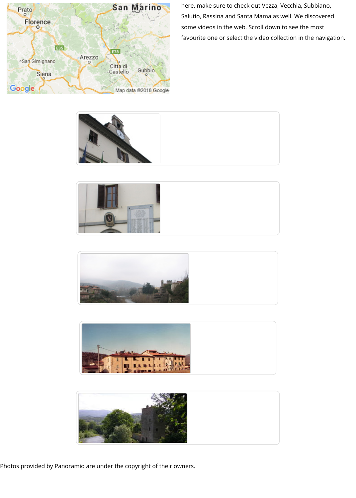<span id="page-2-0"></span>

here, make sure to check out Vezza, Vecchia, Subbiano, Salutio, Rassina and Santa Mama as well. We discovered some videos in the web. Scroll down to see the most favourite one or select the video collection in the navigation.











Photos provided by Panoramio are under the copyright of their owners.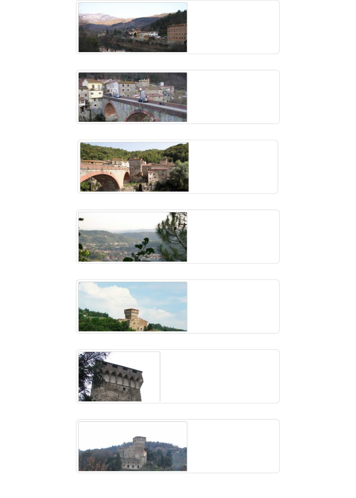











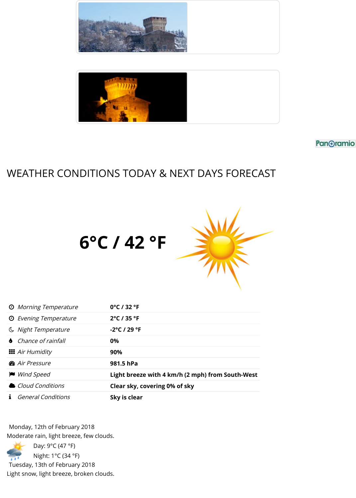



Pan⊕ramio

### <span id="page-4-0"></span>WEATHER CONDITIONS TODAY & NEXT DAYS FORECAST



| <b><i>O Morning Temperature</i></b> | 0°C / 32 °F                                      |
|-------------------------------------|--------------------------------------------------|
| <b><i>O Evening Temperature</i></b> | $2^{\circ}$ C / 35 $^{\circ}$ F                  |
| ↓ Night Temperature                 | $-2$ °C / 29 °F                                  |
| <b>•</b> Chance of rainfall         | 0%                                               |
| <b>III</b> Air Humidity             | 90%                                              |
| <b>B</b> Air Pressure               | 981.5 hPa                                        |
| i■ Wind Speed                       | Light breeze with 4 km/h (2 mph) from South-West |
| • Cloud Conditions                  | Clear sky, covering 0% of sky                    |
| i.<br><b>General Conditions</b>     | Sky is clear                                     |

Monday, 12th of February 2018 Moderate rain, light breeze, few clouds.

Day: 9°C (47 °F) Night: 1°C (34 °F) Tuesday, 13th of February 2018 Light snow, light breeze, broken clouds.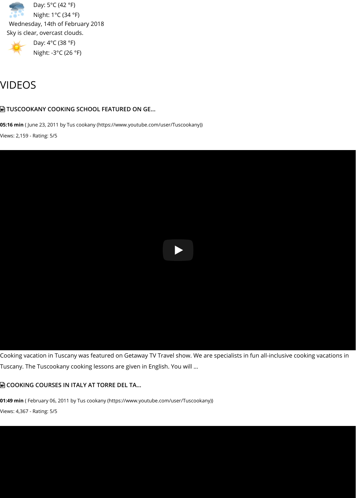

<span id="page-5-0"></span>

Night: -3°C (26 °F)

## VIDEOS

**M TUSCOOKANY COOKING SCHOOL FEATURED ON GE...** 

**05:16 min** ( June 23, 2011 by [Tus cookany \(https://www.youtube.com/user/Tuscookany\)](https://www.youtube.com/user/Tuscookany))

Views: 2,159 - Rating: 5/5



Cooking vacation in Tuscany was featured on Getaway TV Travel show. We are specialists in fun all-inclusive cooking vacations in Tuscany. The Tuscookany cooking lessons are given in English. You will ...

### **h** COOKING COURSES IN ITALY AT TORRE DEL TA...

**01:49 min** ( February 06, 2011 by [Tus cookany \(https://www.youtube.com/user/Tuscookany\)\)](https://www.youtube.com/user/Tuscookany) Views: 4,367 - Rating: 5/5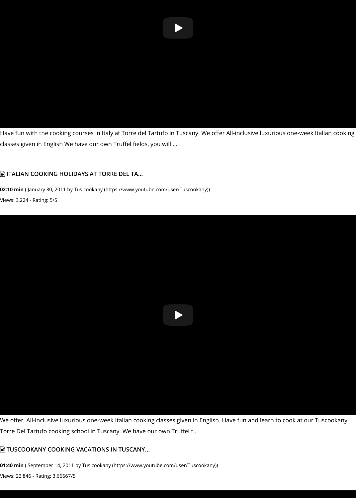

Have fun with the cooking courses in Italy at Torre del Tartufo in Tuscany. We offer All-inclusive luxurious one-week Italian cooking classes given in English We have our own Truffel fields, you will ...

### **M** ITALIAN COOKING HOLIDAYS AT TORRE DEL TA...

**02:10 min** ( January 30, 2011 by [Tus cookany \(https://www.youtube.com/user/Tuscookany\)](https://www.youtube.com/user/Tuscookany)) Views: 3,224 - Rating: 5/5



We offer, All-inclusive luxurious one-week Italian cooking classes given in English. Have fun and learn to cook at our Tuscookany Torre Del Tartufo cooking school in Tuscany. We have our own Truffel f...

#### **TUSCOOKANY COOKING VACATIONS IN TUSCANY...**

**01:40 min** ( September 14, 2011 by [Tus cookany \(https://www.youtube.com/user/Tuscookany\)](https://www.youtube.com/user/Tuscookany)) Views: 22,846 - Rating: 3.66667/5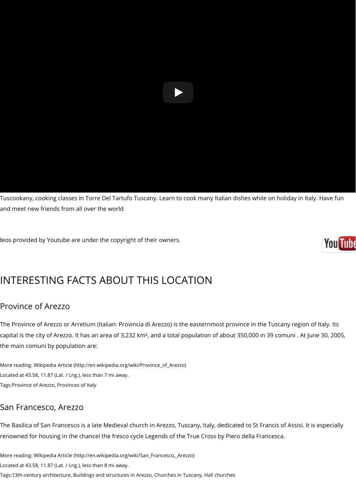

Tuscookany, cooking classes in Torre Del Tartufo Tuscany. Learn to cook many Italian dishes while on holiday in Italy. Have fun and meet new friends from all over the world

<span id="page-7-0"></span>deos provided by Youtube are under the copyright of their owners.



### INTERESTING FACTS ABOUT THIS LOCATION

### Province of Arezzo

The Province of Arezzo or Arretium (Italian: Provincia di Arezzo) is the easternmost province in the Tuscany region of Italy. Its capital is the city of Arezzo. It has an area of 3,232 km², and a total population of about 350,000 in 39 comuni . At June 30, 2005, the main comuni by population are:

More reading: [Wikipedia Article \(http://en.wikipedia.org/wiki/Province\\_of\\_Arezzo\)](http://en.wikipedia.org/wiki/Province_of_Arezzo) Located at 43.58, 11.87 (Lat. / Lng.), less than 7 mi away. Tags:Province of Arezzo, Provinces of Italy

### San Francesco, Arezzo

The Basilica of San Francesco is a late Medieval church in Arezzo, Tuscany, Italy, dedicated to St Francis of Assisi. It is especially renowned for housing in the chancel the fresco cycle Legends of the True Cross by Piero della Francesca.

More reading: [Wikipedia Article \(http://en.wikipedia.org/wiki/San\\_Francesco,\\_Arezzo\)](http://en.wikipedia.org/wiki/San_Francesco,_Arezzo) Located at 43.58, 11.87 (Lat. / Lng.), less than 8 mi away. Tags:13th-century architecture, Buildings and structures in Arezzo, Churches in Tuscany, Hall churches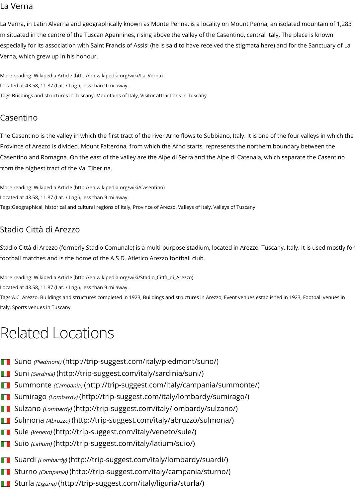### La Verna

La Verna, in Latin Alverna and geographically known as Monte Penna, is a locality on Mount Penna, an isolated mountain of 1,283 m situated in the centre of the Tuscan Apennines, rising above the valley of the Casentino, central Italy. The place is known especially for its association with Saint Francis of Assisi (he is said to have received the stigmata here) and for the Sanctuary of La Verna, which grew up in his honour.

More reading: [Wikipedia Article \(http://en.wikipedia.org/wiki/La\\_Verna\)](http://en.wikipedia.org/wiki/La_Verna) Located at 43.58, 11.87 (Lat. / Lng.), less than 9 mi away. Tags:Buildings and structures in Tuscany, Mountains of Italy, Visitor attractions in Tuscany

### Casentino

The Casentino is the valley in which the first tract of the river Arno flows to Subbiano, Italy. It is one of the four valleys in which the Province of Arezzo is divided. Mount Falterona, from which the Arno starts, represents the northern boundary between the Casentino and Romagna. On the east of the valley are the Alpe di Serra and the Alpe di Catenaia, which separate the Casentino from the highest tract of the Val Tiberina.

More reading: [Wikipedia Article \(http://en.wikipedia.org/wiki/Casentino\)](http://en.wikipedia.org/wiki/Casentino) Located at 43.58, 11.87 (Lat. / Lng.), less than 9 mi away. Tags:Geographical, historical and cultural regions of Italy, Province of Arezzo, Valleys of Italy, Valleys of Tuscany

### Stadio Città di Arezzo

Stadio Città di Arezzo (formerly Stadio Comunale) is a multi-purpose stadium, located in Arezzo, Tuscany, Italy. It is used mostly for football matches and is the home of the A.S.D. Atletico Arezzo football club.

More reading: [Wikipedia Article \(http://en.wikipedia.org/wiki/Stadio\\_Città\\_di\\_Arezzo\)](http://en.wikipedia.org/wiki/Stadio_Citt%C3%A0_di_Arezzo)

Located at 43.58, 11.87 (Lat. / Lng.), less than 9 mi away.

Tags:A.C. Arezzo, Buildings and structures completed in 1923, Buildings and structures in Arezzo, Event venues established in 1923, Football venues in Italy, Sports venues in Tuscany

# Related Locations

- Suno (Piedmont) [\(http://trip-suggest.com/italy/piedmont/suno/\)](http://trip-suggest.com/italy/piedmont/suno/)
- ■■ Suni (Sardinia) [\(http://trip-suggest.com/italy/sardinia/suni/\)](http://trip-suggest.com/italy/sardinia/suni/)
- **T** Summonte (Campania) [\(http://trip-suggest.com/italy/campania/summonte/\)](http://trip-suggest.com/italy/campania/summonte/)
- Sumirago (Lombardy) [\(http://trip-suggest.com/italy/lombardy/sumirago/\)](http://trip-suggest.com/italy/lombardy/sumirago/)
- Sulzano (Lombardy) [\(http://trip-suggest.com/italy/lombardy/sulzano/\)](http://trip-suggest.com/italy/lombardy/sulzano/)  $\blacksquare\blacksquare$
- Sulmona (Abruzzo) [\(http://trip-suggest.com/italy/abruzzo/sulmona/\)](http://trip-suggest.com/italy/abruzzo/sulmona/) HT I
- Sule (Veneto) [\(http://trip-suggest.com/italy/veneto/sule/\)](http://trip-suggest.com/italy/veneto/sule/)
- Suio (Latium) [\(http://trip-suggest.com/italy/latium/suio/\)](http://trip-suggest.com/italy/latium/suio/) W
- Suardi (Lombardy) [\(http://trip-suggest.com/italy/lombardy/suardi/\)](http://trip-suggest.com/italy/lombardy/suardi/) W
- Sturno (Campania) [\(http://trip-suggest.com/italy/campania/sturno/\)](http://trip-suggest.com/italy/campania/sturno/) W
- Sturla (Liguria) [\(http://trip-suggest.com/italy/liguria/sturla/\)](http://trip-suggest.com/italy/liguria/sturla/)M H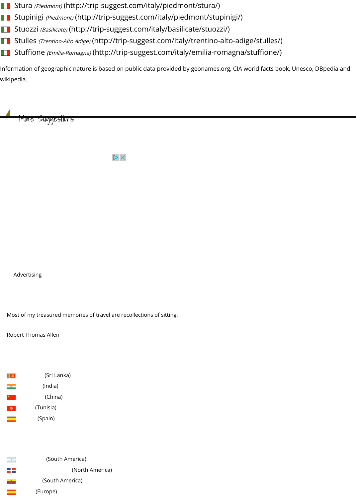- **T** Stura (Piedmont) [\(http://trip-suggest.com/italy/piedmont/stura/\)](http://trip-suggest.com/italy/piedmont/stura/)
- Stupinigi (Piedmont) [\(http://trip-suggest.com/italy/piedmont/stupinigi/\)](http://trip-suggest.com/italy/piedmont/stupinigi/)
- Stuozzi (Basilicate) [\(http://trip-suggest.com/italy/basilicate/stuozzi/\)](http://trip-suggest.com/italy/basilicate/stuozzi/)
- **T** Stulles (Trentino-Alto Adige) [\(http://trip-suggest.com/italy/trentino-alto-adige/stulles/\)](http://trip-suggest.com/italy/trentino-alto-adige/stulles/)
- **T** Stuffione (Emilia-Romagna) [\(http://trip-suggest.com/italy/emilia-romagna/stu](http://trip-suggest.com/italy/emilia-romagna/stuffione/)ffione/)

Information of geographic nature is based on public data provided by geonames.org, CIA world facts book, Unesco, DBpedia and wikipedia.



|           | (Sri Lanka) |  |
|-----------|-------------|--|
| --        | (India)     |  |
|           | (China)     |  |
| $\bullet$ | (Tunisia)   |  |
| سي        | (Spain)     |  |
|           |             |  |

| - 5             | (South America) |
|-----------------|-----------------|
| 22              | (North America) |
| <b>Color</b>    | (South America) |
| <b>Contract</b> | (Europe)        |